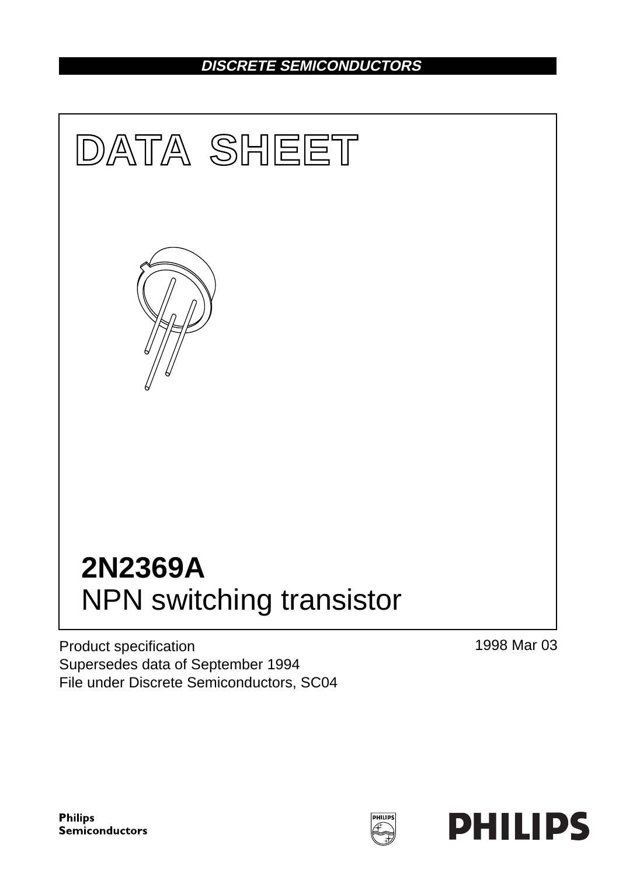## **DISCRETE SEMICONDUCTORS**



Product specification Supersedes data of September 1994 File under Discrete Semiconductors, SC04 1998 Mar 03

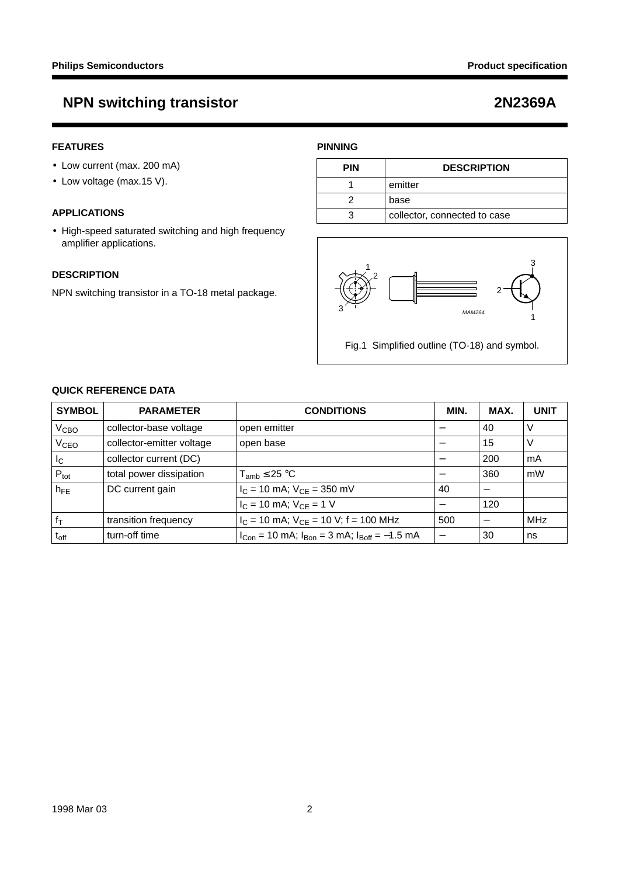## **FEATURES**

- Low current (max. 200 mA)
- Low voltage (max.15 V).

## **APPLICATIONS**

• High-speed saturated switching and high frequency amplifier applications.

### **DESCRIPTION**

NPN switching transistor in a TO-18 metal package.

## **PINNING**

| PIN | <b>DESCRIPTION</b>           |
|-----|------------------------------|
|     | emitter                      |
|     | base                         |
|     | collector, connected to case |



Fig.1 Simplified outline (TO-18) and symbol.

## **QUICK REFERENCE DATA**

| <b>SYMBOL</b>     | <b>PARAMETER</b>          | <b>CONDITIONS</b>                                         | MIN. | MAX. | <b>UNIT</b> |
|-------------------|---------------------------|-----------------------------------------------------------|------|------|-------------|
| V <sub>CBO</sub>  | collector-base voltage    | open emitter                                              |      | 40   | v           |
| V <sub>CEO</sub>  | collector-emitter voltage | open base                                                 |      | 15   | V           |
| I <sub>C</sub>    | collector current (DC)    |                                                           |      | 200  | mA          |
| $P_{\text{tot}}$  | total power dissipation   | $T_{amb} \leq 25 °C$                                      |      | 360  | mW          |
| $h_{\mathsf{FE}}$ | DC current gain           | $I_C = 10$ mA; $V_{CE} = 350$ mV                          | 40   |      |             |
|                   |                           | $I_C = 10$ mA; $V_{CE} = 1$ V                             |      | 120  |             |
| $f_T$             | transition frequency      | $I_C$ = 10 mA; $V_{CE}$ = 10 V; f = 100 MHz               | 500  |      | <b>MHz</b>  |
| $\rm t_{off}$     | turn-off time             | $I_{Con}$ = 10 mA; $I_{Bon}$ = 3 mA; $I_{Boff}$ = -1.5 mA |      | 30   | ns          |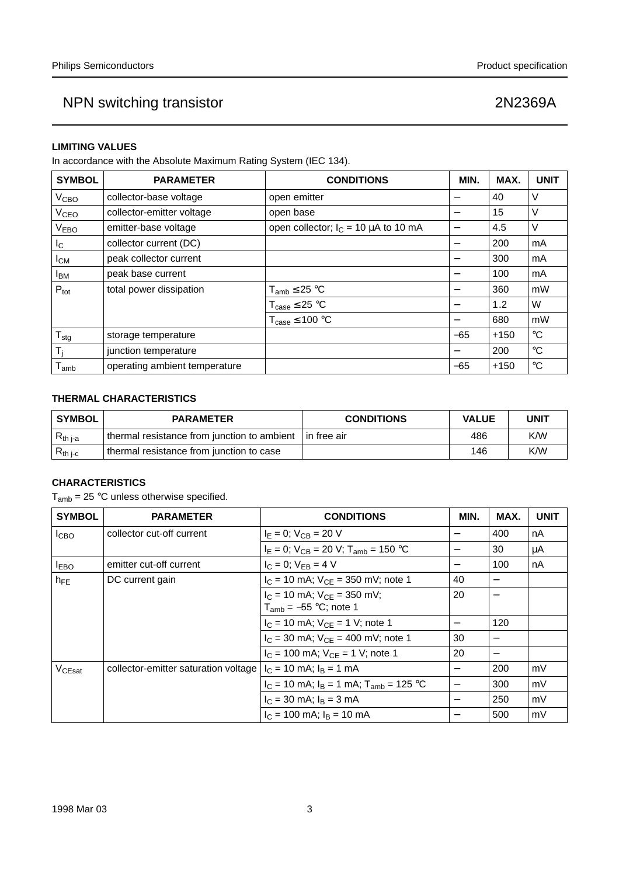### **LIMITING VALUES**

In accordance with the Absolute Maximum Rating System (IEC 134).

| <b>SYMBOL</b>          | <b>PARAMETER</b>              | <b>CONDITIONS</b>                         | MIN.                     | MAX.   | <b>UNIT</b>     |
|------------------------|-------------------------------|-------------------------------------------|--------------------------|--------|-----------------|
| V <sub>CBO</sub>       | collector-base voltage        | open emitter                              | $\qquad \qquad$          | 40     | V               |
| V <sub>CEO</sub>       | collector-emitter voltage     | open base                                 | $\overline{\phantom{0}}$ | 15     | V               |
| <b>VEBO</b>            | emitter-base voltage          | open collector; $I_C = 10 \mu A$ to 10 mA |                          | 4.5    | V               |
| $I_{\rm C}$            | collector current (DC)        |                                           | $\overline{\phantom{m}}$ | 200    | mA              |
| $I_{CM}$               | peak collector current        |                                           |                          | 300    | mA              |
| <b>I</b> <sub>BM</sub> | peak base current             |                                           |                          | 100    | mA              |
| $P_{\text{tot}}$       | total power dissipation       | $T_{amb} \leq 25 °C$                      | -                        | 360    | mW              |
|                        |                               | $T_{\text{case}} \leq 25 \text{ °C}$      |                          | 1.2    | W               |
|                        |                               | $T_{\text{case}} \leq 100 \text{ °C}$     | $\overline{\phantom{m}}$ | 680    | mW              |
| $T_{\text{stg}}$       | storage temperature           |                                           | $-65$                    | $+150$ | $^{\circ}C$     |
| Ti                     | junction temperature          |                                           | $\qquad \qquad$          | 200    | $^{\circ}C$     |
| l <sub>amb</sub>       | operating ambient temperature |                                           | $-65$                    | $+150$ | $\rm ^{\circ}C$ |

## **THERMAL CHARACTERISTICS**

| <b>SYMBOL</b> | <b>PARAMETER</b>                            | <b>CONDITIONS</b> | <b>VALUE</b> | <b>UNIT</b> |
|---------------|---------------------------------------------|-------------------|--------------|-------------|
| $R_{th\ j-a}$ | thermal resistance from junction to ambient | l in free air     | 486          | K/W         |
| $R_{th i-c}$  | thermal resistance from junction to case    |                   | 146          | K/W         |

### **CHARACTERISTICS**

 $T_{amb} = 25 °C$  unless otherwise specified.

| <b>SYMBOL</b>    | <b>PARAMETER</b>                     | <b>CONDITIONS</b>                                               | MIN.                     | MAX. | <b>UNIT</b> |
|------------------|--------------------------------------|-----------------------------------------------------------------|--------------------------|------|-------------|
| I <sub>CBO</sub> | collector cut-off current            | $I_E = 0$ ; $V_{CB} = 20$ V                                     |                          | 400  | nA          |
|                  |                                      | $I_F = 0$ ; $V_{CB} = 20$ V; $T_{amb} = 150$ °C                 |                          | 30   | μA          |
| <b>IEBO</b>      | emitter cut-off current              | $I_C = 0$ ; $V_{FB} = 4$ V                                      | $\qquad \qquad -$        | 100  | nA          |
| $h_{FE}$         | DC current gain                      | $I_C$ = 10 mA; $V_{CF}$ = 350 mV; note 1                        | 40                       |      |             |
|                  |                                      | $I_C = 10$ mA; $V_{CE} = 350$ mV;<br>$T_{amb}$ = -55 °C; note 1 | 20                       |      |             |
|                  |                                      | $I_C = 10$ mA; $V_{CF} = 1$ V; note 1                           | $\qquad \qquad -$        | 120  |             |
|                  |                                      | $I_C = 30$ mA; $V_{CE} = 400$ mV; note 1                        | 30                       |      |             |
|                  |                                      | $I_C = 100$ mA; $V_{CF} = 1$ V; note 1                          | 20                       | —    |             |
| $V_{CEsat}$      | collector-emitter saturation voltage | $I_C = 10$ mA; $I_B = 1$ mA                                     | $\overline{\phantom{m}}$ | 200  | mV          |
|                  |                                      | $I_C = 10$ mA; $I_B = 1$ mA; $T_{amb} = 125$ °C                 |                          | 300  | mV          |
|                  |                                      | $I_C = 30$ mA; $I_B = 3$ mA                                     |                          | 250  | mV          |
|                  |                                      | $I_C = 100$ mA; $I_B = 10$ mA                                   |                          | 500  | mV          |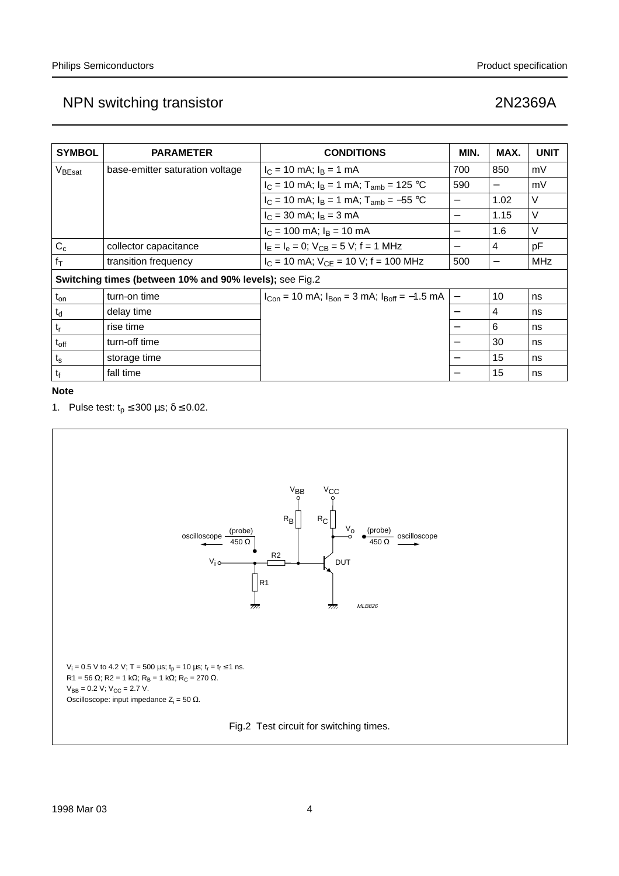| <b>SYMBOL</b>                                           | <b>PARAMETER</b>                | <b>CONDITIONS</b>                                         | MIN.              | MAX.                     | <b>UNIT</b> |
|---------------------------------------------------------|---------------------------------|-----------------------------------------------------------|-------------------|--------------------------|-------------|
| $V_{\text{BEsat}}$                                      | base-emitter saturation voltage | $I_C = 10$ mA; $I_B = 1$ mA                               | 700               | 850                      | mV          |
|                                                         |                                 | $I_C = 10$ mA; $I_B = 1$ mA; $T_{amb} = 125$ °C           | 590               | $\overline{\phantom{0}}$ | mV          |
|                                                         |                                 | $I_C = 10$ mA; $I_B = 1$ mA; $T_{amb} = -55$ °C           |                   | 1.02                     | V           |
|                                                         |                                 | $I_C = 30$ mA; $I_B = 3$ mA                               | $\qquad \qquad$   | 1.15                     | V           |
|                                                         |                                 | $I_C = 100$ mA; $I_B = 10$ mA                             |                   | 1.6                      | $\vee$      |
| $C_c$                                                   | collector capacitance           | $I_E = I_e = 0$ ; $V_{CB} = 5$ V; f = 1 MHz               |                   | 4                        | рF          |
| $f_T$                                                   | transition frequency            | $I_C = 10$ mA; $V_{CF} = 10$ V; f = 100 MHz               | 500               | —                        | <b>MHz</b>  |
| Switching times (between 10% and 90% levels); see Fig.2 |                                 |                                                           |                   |                          |             |
| $t_{on}$                                                | turn-on time                    | $I_{Con}$ = 10 mA; $I_{Bon}$ = 3 mA; $I_{Boff}$ = -1.5 mA | $\qquad \qquad -$ | 10                       | ns          |
| $t_d$                                                   | delay time                      |                                                           |                   | 4                        | ns          |
| $t_{r}$                                                 | rise time                       |                                                           |                   | 6                        | ns          |
| $t_{off}$                                               | turn-off time                   |                                                           |                   | 30                       | ns          |
| $t_{\rm s}$                                             | storage time                    |                                                           |                   | 15                       | ns          |
| $t_f$                                                   | fall time                       |                                                           |                   | 15                       | ns          |

**Note**

1. Pulse test:  $t_p \le 300 \,\mu s$ ;  $\delta \le 0.02$ .

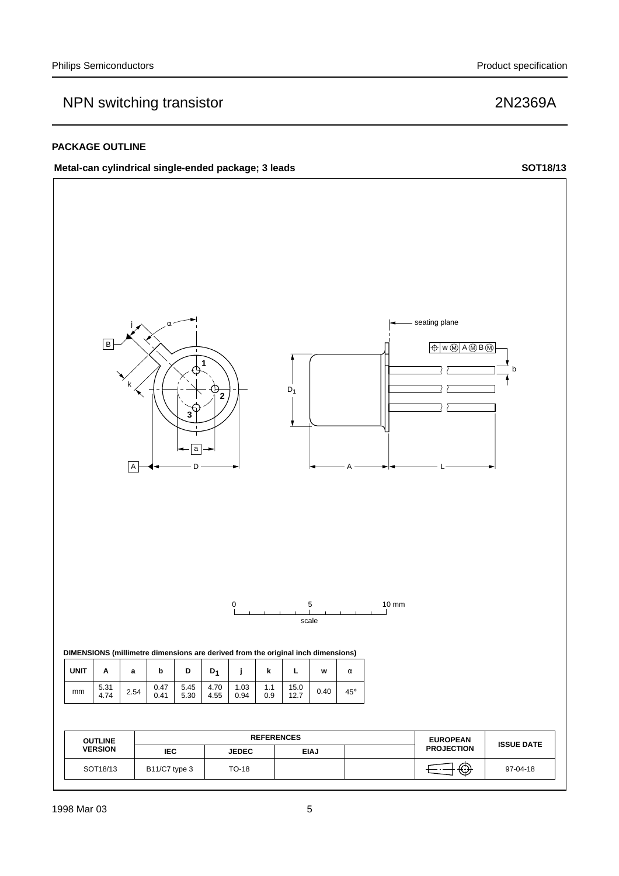## **PACKAGE OUTLINE**

## Metal-can cylindrical single-ended package; 3 leads SOT18/13

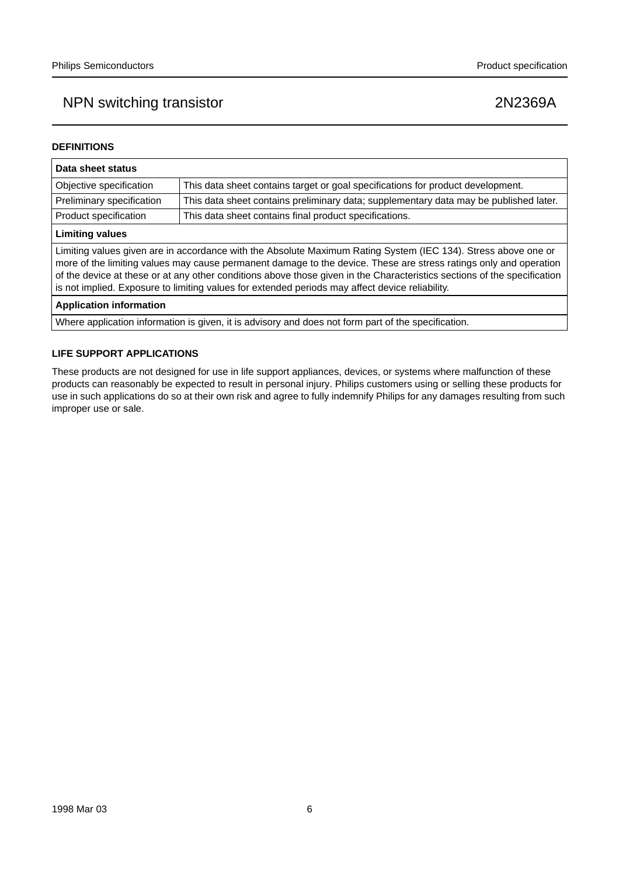## **DEFINITIONS**

| Data sheet status                                                                                                                                                                                                                                                                                                                                                                                                                                                  |                                                                                       |  |  |
|--------------------------------------------------------------------------------------------------------------------------------------------------------------------------------------------------------------------------------------------------------------------------------------------------------------------------------------------------------------------------------------------------------------------------------------------------------------------|---------------------------------------------------------------------------------------|--|--|
| Objective specification<br>This data sheet contains target or goal specifications for product development.                                                                                                                                                                                                                                                                                                                                                         |                                                                                       |  |  |
| Preliminary specification                                                                                                                                                                                                                                                                                                                                                                                                                                          | This data sheet contains preliminary data; supplementary data may be published later. |  |  |
| Product specification                                                                                                                                                                                                                                                                                                                                                                                                                                              | This data sheet contains final product specifications.                                |  |  |
| <b>Limiting values</b>                                                                                                                                                                                                                                                                                                                                                                                                                                             |                                                                                       |  |  |
| Limiting values given are in accordance with the Absolute Maximum Rating System (IEC 134). Stress above one or<br>more of the limiting values may cause permanent damage to the device. These are stress ratings only and operation<br>of the device at these or at any other conditions above those given in the Characteristics sections of the specification<br>is not implied. Exposure to limiting values for extended periods may affect device reliability. |                                                                                       |  |  |
| <b>Application information</b>                                                                                                                                                                                                                                                                                                                                                                                                                                     |                                                                                       |  |  |
|                                                                                                                                                                                                                                                                                                                                                                                                                                                                    |                                                                                       |  |  |

Where application information is given, it is advisory and does not form part of the specification.

### **LIFE SUPPORT APPLICATIONS**

These products are not designed for use in life support appliances, devices, or systems where malfunction of these products can reasonably be expected to result in personal injury. Philips customers using or selling these products for use in such applications do so at their own risk and agree to fully indemnify Philips for any damages resulting from such improper use or sale.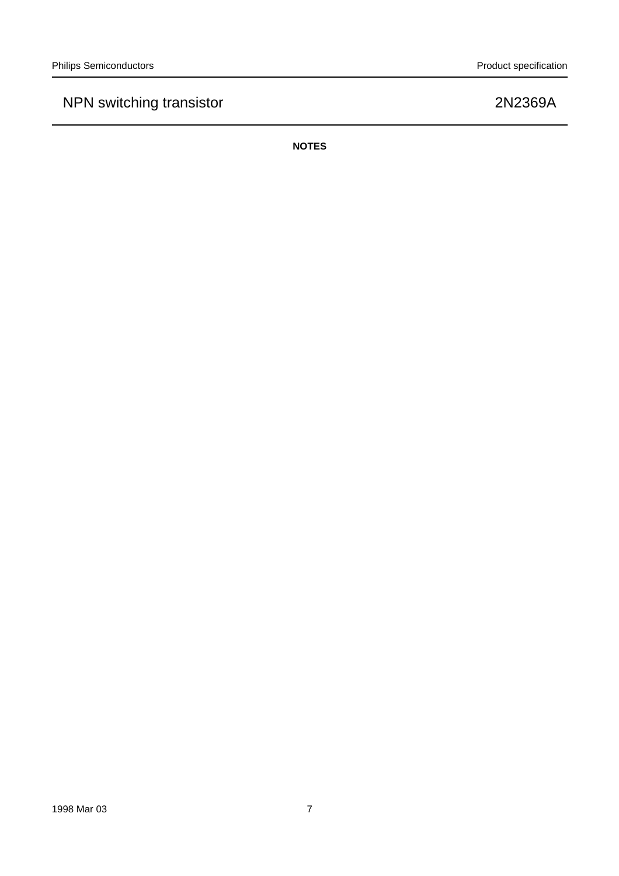**NOTES**